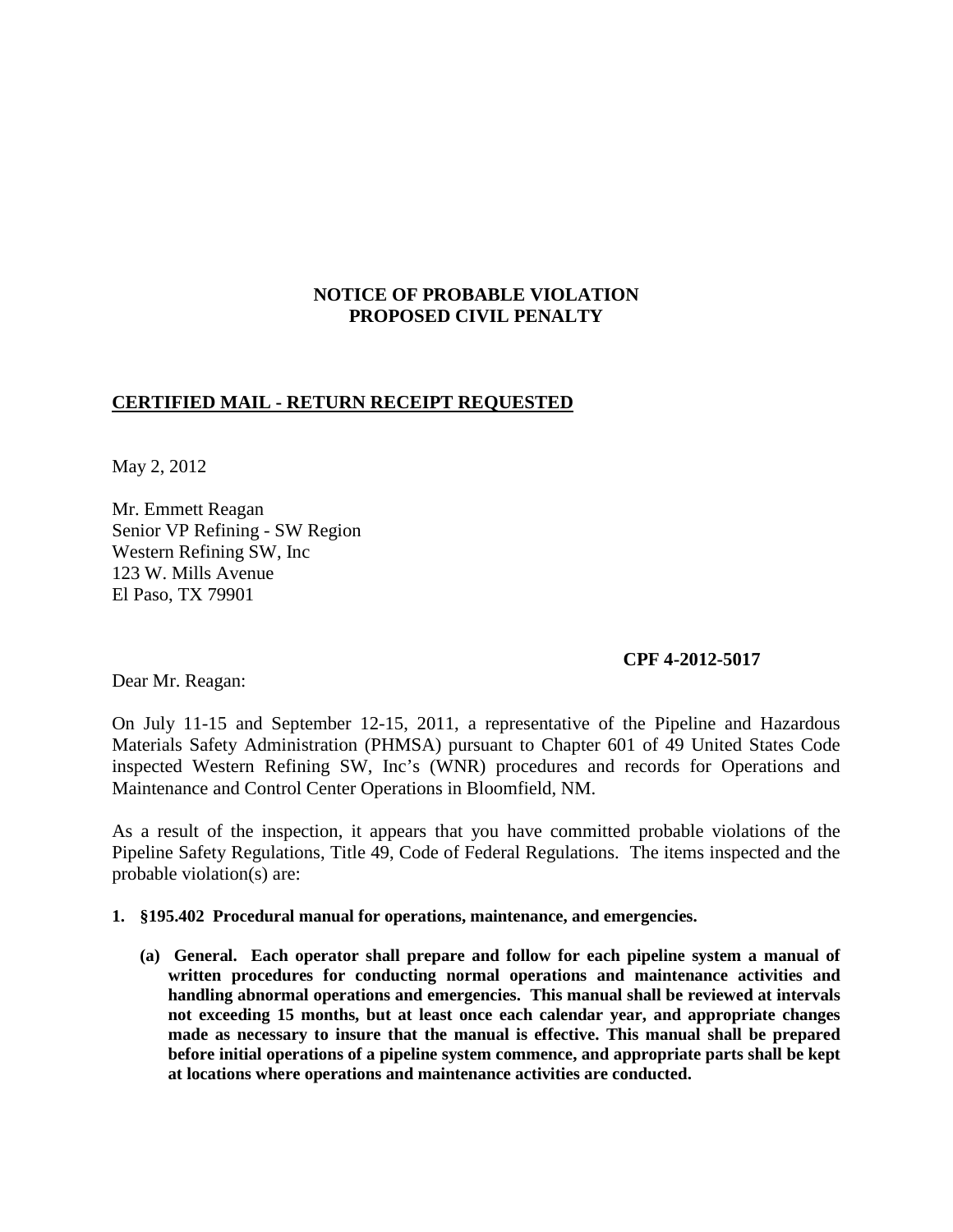# **NOTICE OF PROBABLE VIOLATION PROPOSED CIVIL PENALTY**

# **CERTIFIED MAIL - RETURN RECEIPT REQUESTED**

May 2, 2012

Mr. Emmett Reagan Senior VP Refining - SW Region Western Refining SW, Inc 123 W. Mills Avenue El Paso, TX 79901

### **CPF 4-2012-5017**

Dear Mr. Reagan:

On July 11-15 and September 12-15, 2011, a representative of the Pipeline and Hazardous Materials Safety Administration (PHMSA) pursuant to Chapter 601 of 49 United States Code inspected Western Refining SW, Inc's (WNR) procedures and records for Operations and Maintenance and Control Center Operations in Bloomfield, NM.

As a result of the inspection, it appears that you have committed probable violations of the Pipeline Safety Regulations, Title 49, Code of Federal Regulations. The items inspected and the probable violation(s) are:

#### **1. §195.402 Procedural manual for operations, maintenance, and emergencies.**

**(a) General. Each operator shall prepare and follow for each pipeline system a manual of written procedures for conducting normal operations and maintenance activities and handling abnormal operations and emergencies. This manual shall be reviewed at intervals not exceeding 15 months, but at least once each calendar year, and appropriate changes made as necessary to insure that the manual is effective. This manual shall be prepared before initial operations of a pipeline system commence, and appropriate parts shall be kept at locations where operations and maintenance activities are conducted.**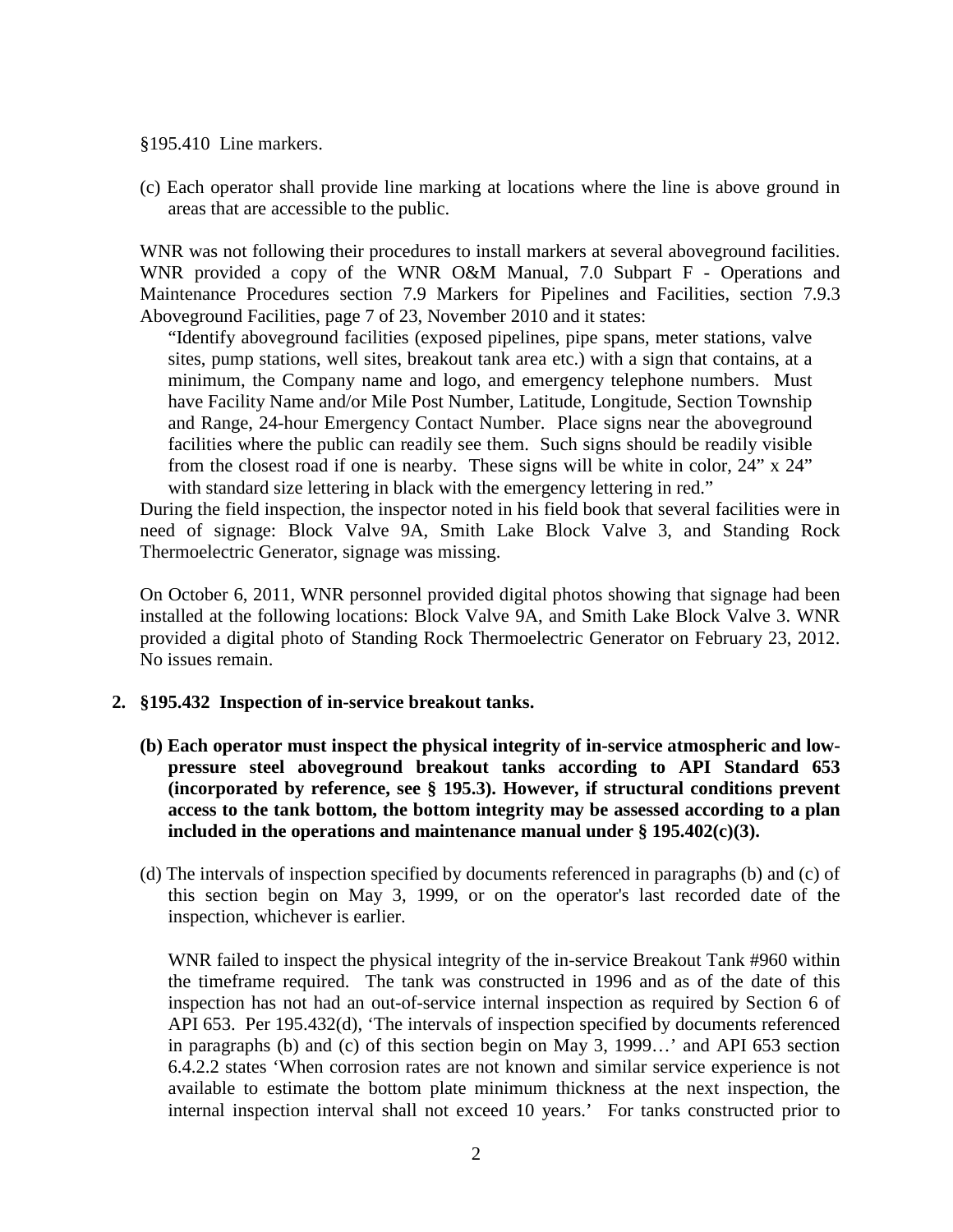§195.410 Line markers.

(c) Each operator shall provide line marking at locations where the line is above ground in areas that are accessible to the public.

WNR was not following their procedures to install markers at several aboveground facilities. WNR provided a copy of the WNR O&M Manual, 7.0 Subpart F - Operations and Maintenance Procedures section 7.9 Markers for Pipelines and Facilities, section 7.9.3 Aboveground Facilities, page 7 of 23, November 2010 and it states:

"Identify aboveground facilities (exposed pipelines, pipe spans, meter stations, valve sites, pump stations, well sites, breakout tank area etc.) with a sign that contains, at a minimum, the Company name and logo, and emergency telephone numbers. Must have Facility Name and/or Mile Post Number, Latitude, Longitude, Section Township and Range, 24-hour Emergency Contact Number. Place signs near the aboveground facilities where the public can readily see them. Such signs should be readily visible from the closest road if one is nearby. These signs will be white in color, 24" x 24" with standard size lettering in black with the emergency lettering in red."

During the field inspection, the inspector noted in his field book that several facilities were in need of signage: Block Valve 9A, Smith Lake Block Valve 3, and Standing Rock Thermoelectric Generator, signage was missing.

On October 6, 2011, WNR personnel provided digital photos showing that signage had been installed at the following locations: Block Valve 9A, and Smith Lake Block Valve 3. WNR provided a digital photo of Standing Rock Thermoelectric Generator on February 23, 2012. No issues remain.

### **2. §195.432 Inspection of in-service breakout tanks.**

- **(b) Each operator must inspect the physical integrity of in-service atmospheric and lowpressure steel aboveground breakout tanks according to API Standard 653 (incorporated by reference, see § 195.3). However, if structural conditions prevent access to the tank bottom, the bottom integrity may be assessed according to a plan included in the operations and maintenance manual under § 195.402(c)(3).**
- (d) The intervals of inspection specified by documents referenced in paragraphs (b) and (c) of this section begin on May 3, 1999, or on the operator's last recorded date of the inspection, whichever is earlier.

WNR failed to inspect the physical integrity of the in-service Breakout Tank #960 within the timeframe required. The tank was constructed in 1996 and as of the date of this inspection has not had an out-of-service internal inspection as required by Section 6 of API 653. Per 195.432(d), 'The intervals of inspection specified by documents referenced in paragraphs (b) and (c) of this section begin on May 3, 1999…' and API 653 section 6.4.2.2 states 'When corrosion rates are not known and similar service experience is not available to estimate the bottom plate minimum thickness at the next inspection, the internal inspection interval shall not exceed 10 years.' For tanks constructed prior to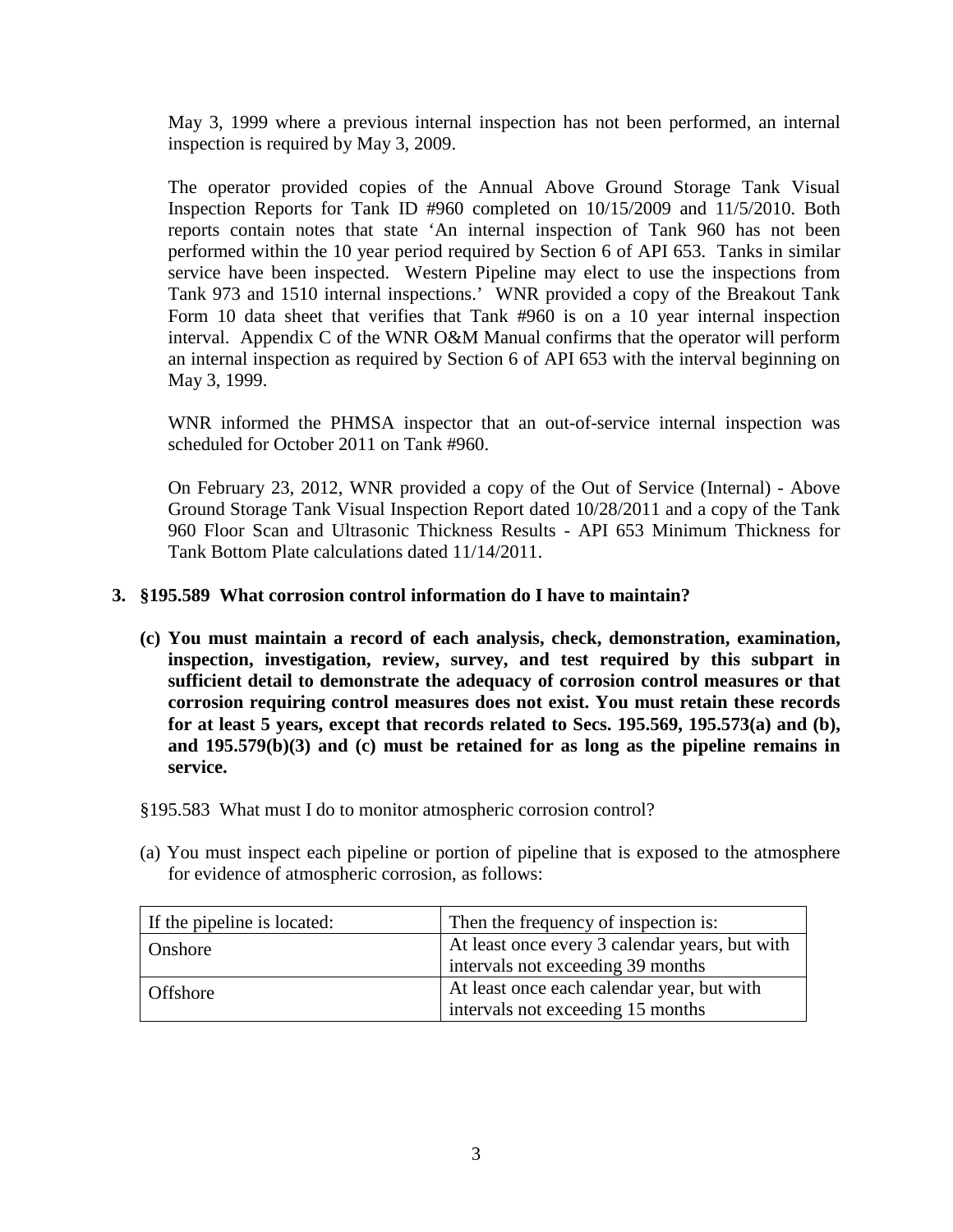May 3, 1999 where a previous internal inspection has not been performed, an internal inspection is required by May 3, 2009.

The operator provided copies of the Annual Above Ground Storage Tank Visual Inspection Reports for Tank ID #960 completed on 10/15/2009 and 11/5/2010. Both reports contain notes that state 'An internal inspection of Tank 960 has not been performed within the 10 year period required by Section 6 of API 653. Tanks in similar service have been inspected. Western Pipeline may elect to use the inspections from Tank 973 and 1510 internal inspections.' WNR provided a copy of the Breakout Tank Form 10 data sheet that verifies that Tank #960 is on a 10 year internal inspection interval. Appendix C of the WNR O&M Manual confirms that the operator will perform an internal inspection as required by Section 6 of API 653 with the interval beginning on May 3, 1999.

WNR informed the PHMSA inspector that an out-of-service internal inspection was scheduled for October 2011 on Tank #960.

On February 23, 2012, WNR provided a copy of the Out of Service (Internal) - Above Ground Storage Tank Visual Inspection Report dated 10/28/2011 and a copy of the Tank 960 Floor Scan and Ultrasonic Thickness Results - API 653 Minimum Thickness for Tank Bottom Plate calculations dated 11/14/2011.

# **3. §195.589 What corrosion control information do I have to maintain?**

- **(c) You must maintain a record of each analysis, check, demonstration, examination, inspection, investigation, review, survey, and test required by this subpart in sufficient detail to demonstrate the adequacy of corrosion control measures or that corrosion requiring control measures does not exist. You must retain these records for at least 5 years, except that records related to Secs. 195.569, 195.573(a) and (b), and 195.579(b)(3) and (c) must be retained for as long as the pipeline remains in service.**
- §195.583 What must I do to monitor atmospheric corrosion control?
- (a) You must inspect each pipeline or portion of pipeline that is exposed to the atmosphere for evidence of atmospheric corrosion, as follows:

| If the pipeline is located: | Then the frequency of inspection is:           |
|-----------------------------|------------------------------------------------|
| <b>Onshore</b>              | At least once every 3 calendar years, but with |
|                             | intervals not exceeding 39 months              |
| Offshore                    | At least once each calendar year, but with     |
|                             | intervals not exceeding 15 months              |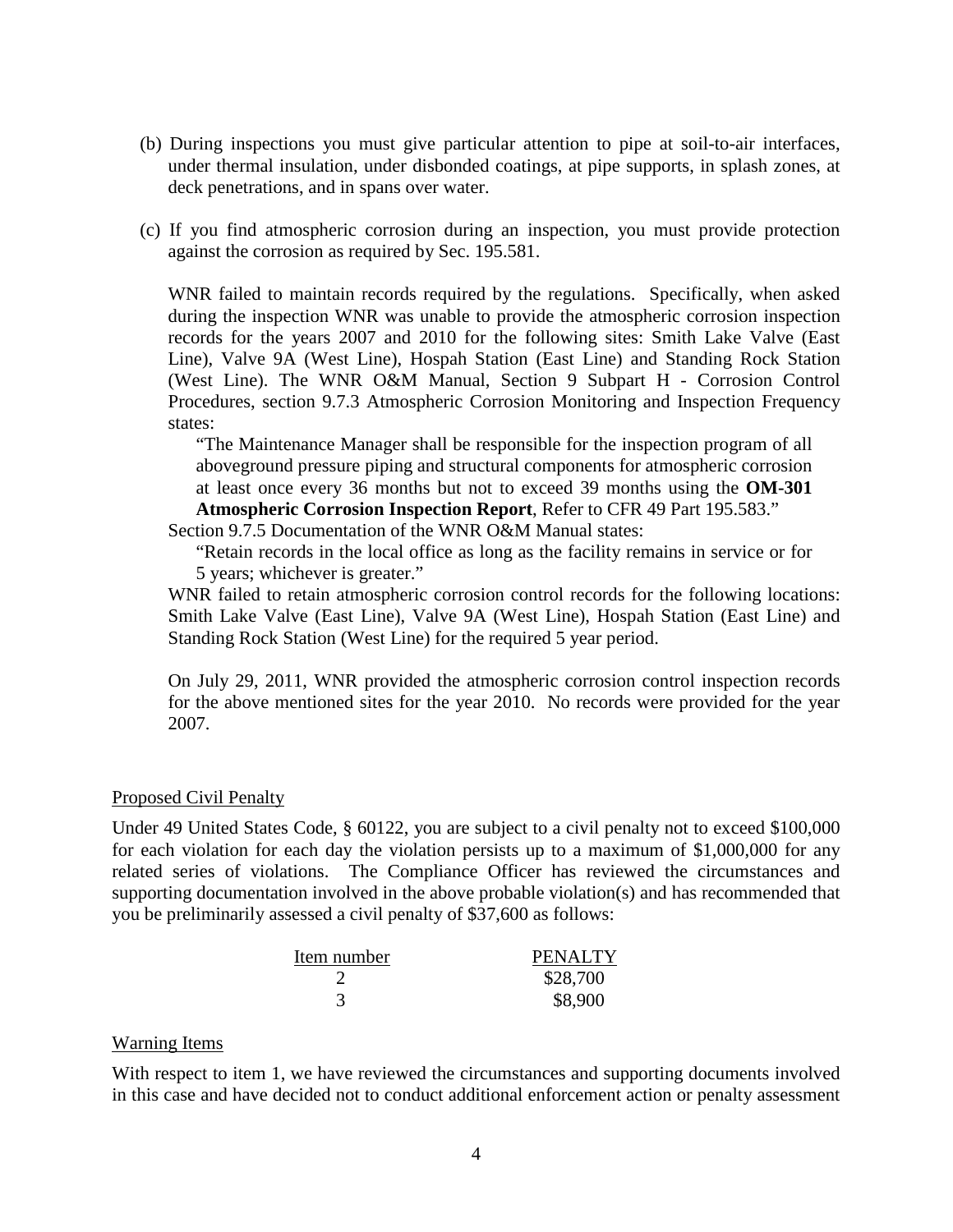- (b) During inspections you must give particular attention to pipe at soil-to-air interfaces, under thermal insulation, under disbonded coatings, at pipe supports, in splash zones, at deck penetrations, and in spans over water.
- (c) If you find atmospheric corrosion during an inspection, you must provide protection against the corrosion as required by Sec. 195.581.

WNR failed to maintain records required by the regulations. Specifically, when asked during the inspection WNR was unable to provide the atmospheric corrosion inspection records for the years 2007 and 2010 for the following sites: Smith Lake Valve (East Line), Valve 9A (West Line), Hospah Station (East Line) and Standing Rock Station (West Line). The WNR O&M Manual, Section 9 Subpart H - Corrosion Control Procedures, section 9.7.3 Atmospheric Corrosion Monitoring and Inspection Frequency states:

"The Maintenance Manager shall be responsible for the inspection program of all aboveground pressure piping and structural components for atmospheric corrosion at least once every 36 months but not to exceed 39 months using the **OM-301 Atmospheric Corrosion Inspection Report**, Refer to CFR 49 Part 195.583." Section 9.7.5 Documentation of the WNR O&M Manual states:

"Retain records in the local office as long as the facility remains in service or for

5 years; whichever is greater."

WNR failed to retain atmospheric corrosion control records for the following locations: Smith Lake Valve (East Line), Valve 9A (West Line), Hospah Station (East Line) and Standing Rock Station (West Line) for the required 5 year period.

On July 29, 2011, WNR provided the atmospheric corrosion control inspection records for the above mentioned sites for the year 2010. No records were provided for the year 2007.

### Proposed Civil Penalty

Under 49 United States Code, § 60122, you are subject to a civil penalty not to exceed \$100,000 for each violation for each day the violation persists up to a maximum of \$1,000,000 for any related series of violations. The Compliance Officer has reviewed the circumstances and supporting documentation involved in the above probable violation(s) and has recommended that you be preliminarily assessed a civil penalty of \$37,600 as follows:

| Item number | <b>PENALTY</b> |
|-------------|----------------|
|             | \$28,700       |
|             | \$8,900        |

### Warning Items

With respect to item 1, we have reviewed the circumstances and supporting documents involved in this case and have decided not to conduct additional enforcement action or penalty assessment